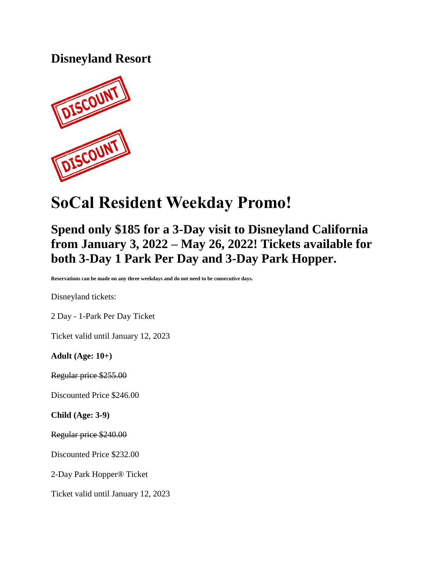### **Disneyland Resort**



# **SoCal Resident Weekday Promo!**

## **Spend only \$185 for a 3-Day visit to Disneyland California from January 3, 2022 – May 26, 2022! Tickets available for both 3-Day 1 Park Per Day and 3-Day Park Hopper.**

**Reservations can be made on any three weekdays and do not need to be consecutive days.**

Disneyland tickets:

2 Day - 1-Park Per Day Ticket

Ticket valid until January 12, 2023

**Adult (Age: 10+)**

Regular price \$255.00

Discounted Price \$246.00

**Child (Age: 3-9)**

Regular price \$240.00

Discounted Price \$232.00

2-Day Park Hopper® Ticket

Ticket valid until January 12, 2023